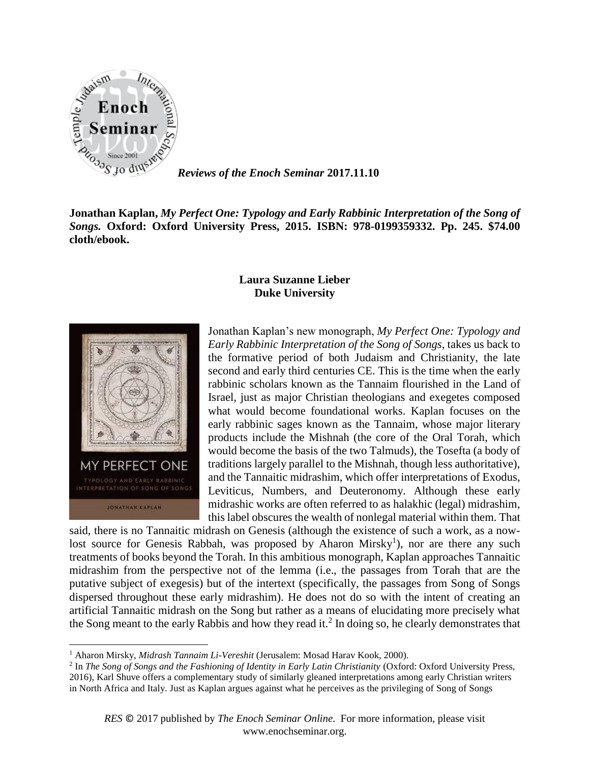

JONATHAN KAPLAN

l

*Reviews of the Enoch Seminar* **2017.11.10**

**Jonathan Kaplan,** *My Perfect One: Typology and Early Rabbinic Interpretation of the Song of Songs.* **Oxford: Oxford University Press, 2015. ISBN: 978-0199359332. Pp. 245. \$74.00 cloth/ebook.**

**Laura Suzanne Lieber**

## **Duke University**

Jonathan Kaplan's new monograph, *My Perfect One: Typology and Early Rabbinic Interpretation of the Song of Songs*, takes us back to the formative period of both Judaism and Christianity, the late second and early third centuries CE. This is the time when the early rabbinic scholars known as the Tannaim flourished in the Land of Israel, just as major Christian theologians and exegetes composed what would become foundational works. Kaplan focuses on the early rabbinic sages known as the Tannaim, whose major literary products include the Mishnah (the core of the Oral Torah, which would become the basis of the two Talmuds), the Tosefta (a body of traditions largely parallel to the Mishnah, though less authoritative), MY PERFECT ONE and the Tannaitic midrashim, which offer interpretations of Exodus, Leviticus, Numbers, and Deuteronomy. Although these early midrashic works are often referred to as halakhic (legal) midrashim, this label obscures the wealth of nonlegal material within them. That

said, there is no Tannaitic midrash on Genesis (although the existence of such a work, as a nowlost source for Genesis Rabbah, was proposed by Aharon Mirsky<sup>1</sup>), nor are there any such treatments of books beyond the Torah. In this ambitious monograph, Kaplan approaches Tannaitic midrashim from the perspective not of the lemma (i.e., the passages from Torah that are the putative subject of exegesis) but of the intertext (specifically, the passages from Song of Songs dispersed throughout these early midrashim). He does not do so with the intent of creating an artificial Tannaitic midrash on the Song but rather as a means of elucidating more precisely what the Song meant to the early Rabbis and how they read it.<sup>2</sup> In doing so, he clearly demonstrates that

<sup>1</sup> Aharon Mirsky, *Midrash Tannaim Li-Vereshit* (Jerusalem: Mosad Harav Kook, 2000).

<sup>&</sup>lt;sup>2</sup> In *The Song of Songs and the Fashioning of Identity in Early Latin Christianity (Oxford: Oxford University Press,* 2016), Karl Shuve offers a complementary study of similarly gleaned interpretations among early Christian writers in North Africa and Italy. Just as Kaplan argues against what he perceives as the privileging of Song of Songs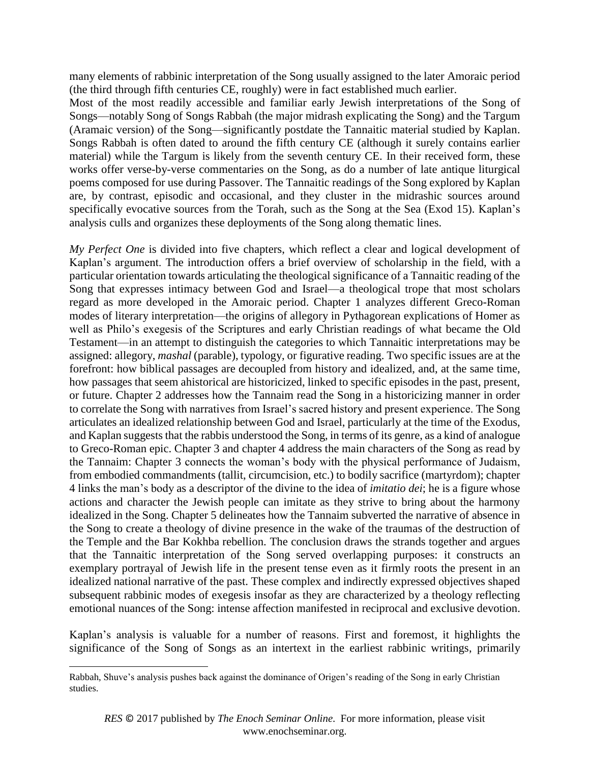many elements of rabbinic interpretation of the Song usually assigned to the later Amoraic period (the third through fifth centuries CE, roughly) were in fact established much earlier.

Most of the most readily accessible and familiar early Jewish interpretations of the Song of Songs—notably Song of Songs Rabbah (the major midrash explicating the Song) and the Targum (Aramaic version) of the Song—significantly postdate the Tannaitic material studied by Kaplan. Songs Rabbah is often dated to around the fifth century CE (although it surely contains earlier material) while the Targum is likely from the seventh century CE. In their received form, these works offer verse-by-verse commentaries on the Song, as do a number of late antique liturgical poems composed for use during Passover. The Tannaitic readings of the Song explored by Kaplan are, by contrast, episodic and occasional, and they cluster in the midrashic sources around specifically evocative sources from the Torah, such as the Song at the Sea (Exod 15). Kaplan's analysis culls and organizes these deployments of the Song along thematic lines.

*My Perfect One* is divided into five chapters, which reflect a clear and logical development of Kaplan's argument. The introduction offers a brief overview of scholarship in the field, with a particular orientation towards articulating the theological significance of a Tannaitic reading of the Song that expresses intimacy between God and Israel—a theological trope that most scholars regard as more developed in the Amoraic period. Chapter 1 analyzes different Greco-Roman modes of literary interpretation—the origins of allegory in Pythagorean explications of Homer as well as Philo's exegesis of the Scriptures and early Christian readings of what became the Old Testament—in an attempt to distinguish the categories to which Tannaitic interpretations may be assigned: allegory, *mashal* (parable), typology, or figurative reading. Two specific issues are at the forefront: how biblical passages are decoupled from history and idealized, and, at the same time, how passages that seem ahistorical are historicized, linked to specific episodes in the past, present, or future. Chapter 2 addresses how the Tannaim read the Song in a historicizing manner in order to correlate the Song with narratives from Israel's sacred history and present experience. The Song articulates an idealized relationship between God and Israel, particularly at the time of the Exodus, and Kaplan suggests that the rabbis understood the Song, in terms of its genre, as a kind of analogue to Greco-Roman epic. Chapter 3 and chapter 4 address the main characters of the Song as read by the Tannaim: Chapter 3 connects the woman's body with the physical performance of Judaism, from embodied commandments (tallit, circumcision, etc.) to bodily sacrifice (martyrdom); chapter 4 links the man's body as a descriptor of the divine to the idea of *imitatio dei*; he is a figure whose actions and character the Jewish people can imitate as they strive to bring about the harmony idealized in the Song. Chapter 5 delineates how the Tannaim subverted the narrative of absence in the Song to create a theology of divine presence in the wake of the traumas of the destruction of the Temple and the Bar Kokhba rebellion. The conclusion draws the strands together and argues that the Tannaitic interpretation of the Song served overlapping purposes: it constructs an exemplary portrayal of Jewish life in the present tense even as it firmly roots the present in an idealized national narrative of the past. These complex and indirectly expressed objectives shaped subsequent rabbinic modes of exegesis insofar as they are characterized by a theology reflecting emotional nuances of the Song: intense affection manifested in reciprocal and exclusive devotion.

Kaplan's analysis is valuable for a number of reasons. First and foremost, it highlights the significance of the Song of Songs as an intertext in the earliest rabbinic writings, primarily

 $\overline{\phantom{a}}$ 

Rabbah, Shuve's analysis pushes back against the dominance of Origen's reading of the Song in early Christian studies.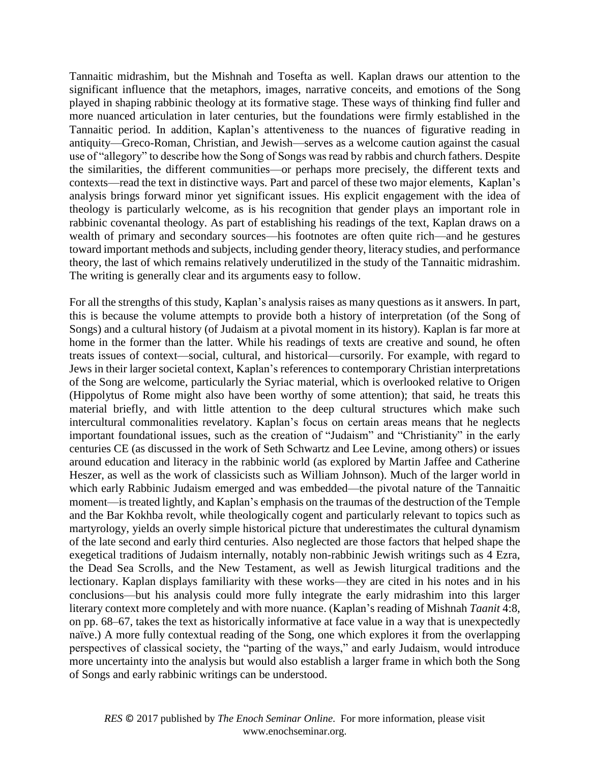Tannaitic midrashim, but the Mishnah and Tosefta as well. Kaplan draws our attention to the significant influence that the metaphors, images, narrative conceits, and emotions of the Song played in shaping rabbinic theology at its formative stage. These ways of thinking find fuller and more nuanced articulation in later centuries, but the foundations were firmly established in the Tannaitic period. In addition, Kaplan's attentiveness to the nuances of figurative reading in antiquity—Greco-Roman, Christian, and Jewish—serves as a welcome caution against the casual use of "allegory" to describe how the Song of Songs was read by rabbis and church fathers. Despite the similarities, the different communities—or perhaps more precisely, the different texts and contexts—read the text in distinctive ways. Part and parcel of these two major elements, Kaplan's analysis brings forward minor yet significant issues. His explicit engagement with the idea of theology is particularly welcome, as is his recognition that gender plays an important role in rabbinic covenantal theology. As part of establishing his readings of the text, Kaplan draws on a wealth of primary and secondary sources—his footnotes are often quite rich—and he gestures toward important methods and subjects, including gender theory, literacy studies, and performance theory, the last of which remains relatively underutilized in the study of the Tannaitic midrashim. The writing is generally clear and its arguments easy to follow.

For all the strengths of this study, Kaplan's analysis raises as many questions as it answers. In part, this is because the volume attempts to provide both a history of interpretation (of the Song of Songs) and a cultural history (of Judaism at a pivotal moment in its history). Kaplan is far more at home in the former than the latter. While his readings of texts are creative and sound, he often treats issues of context—social, cultural, and historical—cursorily. For example, with regard to Jews in their larger societal context, Kaplan's references to contemporary Christian interpretations of the Song are welcome, particularly the Syriac material, which is overlooked relative to Origen (Hippolytus of Rome might also have been worthy of some attention); that said, he treats this material briefly, and with little attention to the deep cultural structures which make such intercultural commonalities revelatory. Kaplan's focus on certain areas means that he neglects important foundational issues, such as the creation of "Judaism" and "Christianity" in the early centuries CE (as discussed in the work of Seth Schwartz and Lee Levine, among others) or issues around education and literacy in the rabbinic world (as explored by Martin Jaffee and Catherine Heszer, as well as the work of classicists such as William Johnson). Much of the larger world in which early Rabbinic Judaism emerged and was embedded—the pivotal nature of the Tannaitic moment—is treated lightly, and Kaplan's emphasis on the traumas of the destruction of the Temple and the Bar Kokhba revolt, while theologically cogent and particularly relevant to topics such as martyrology, yields an overly simple historical picture that underestimates the cultural dynamism of the late second and early third centuries. Also neglected are those factors that helped shape the exegetical traditions of Judaism internally, notably non-rabbinic Jewish writings such as 4 Ezra, the Dead Sea Scrolls, and the New Testament, as well as Jewish liturgical traditions and the lectionary. Kaplan displays familiarity with these works—they are cited in his notes and in his conclusions—but his analysis could more fully integrate the early midrashim into this larger literary context more completely and with more nuance. (Kaplan's reading of Mishnah *Taanit* 4:8, on pp. 68–67, takes the text as historically informative at face value in a way that is unexpectedly naïve.) A more fully contextual reading of the Song, one which explores it from the overlapping perspectives of classical society, the "parting of the ways," and early Judaism, would introduce more uncertainty into the analysis but would also establish a larger frame in which both the Song of Songs and early rabbinic writings can be understood.